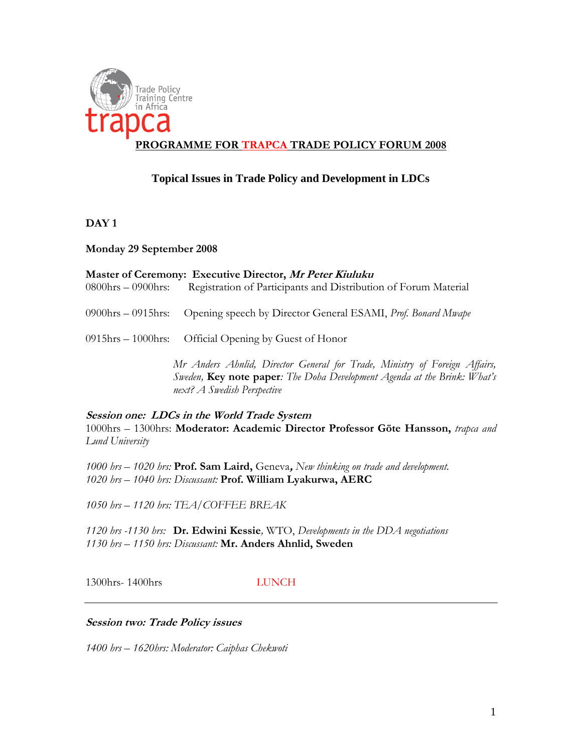

# **PROGRAMME FOR TRAPCA TRADE POLICY FORUM 2008**

## **Topical Issues in Trade Policy and Development in LDCs**

**DAY 1**

**Monday 29 September 2008**

| Master of Ceremony: Executive Director, Mr Peter Kiuluku |                                                                                 |  |  |  |  |  |  |
|----------------------------------------------------------|---------------------------------------------------------------------------------|--|--|--|--|--|--|
| $0800$ hrs $- 0900$ hrs:                                 | Registration of Participants and Distribution of Forum Material                 |  |  |  |  |  |  |
|                                                          | 0900hrs - 0915hrs: Opening speech by Director General ESAMI, Prof. Bonard Mwape |  |  |  |  |  |  |
|                                                          | $0915\text{hrs} - 1000\text{hrs}$ : Official Opening by Guest of Honor          |  |  |  |  |  |  |
|                                                          | Mr Anders Ahnlid, Director General for Trade, Ministry of Foreign Affairs,      |  |  |  |  |  |  |
|                                                          | Sweden, Key note paper: The Doha Development Agenda at the Brink: What's        |  |  |  |  |  |  |

**Session one: LDCs in the World Trade System** 1000hrs – 1300hrs: **Moderator: Academic Director Professor Göte Hansson,** *trapca and Lund University*

*1000 hrs – 1020 hrs:* **Prof. Sam Laird,** Geneva**,** *New thinking on trade and development. 1020 hrs – 1040 hrs: Discussant:* **Prof. William Lyakurwa, AERC**

*next? A Swedish Perspective*

*1050 hrs – 1120 hrs: TEA/COFFEE BREAK* 

*1120 hrs -1130 hrs:* **Dr. Edwini Kessie***,* WTO, *Developments in the DDA negotiations 1130 hrs – 1150 hrs: Discussant:* **Mr. Anders Ahnlid, Sweden**

1300hrs- 1400hrs LUNCH

## **Session two: Trade Policy issues**

*1400 hrs – 1620hrs: Moderator: Caiphas Chekwoti*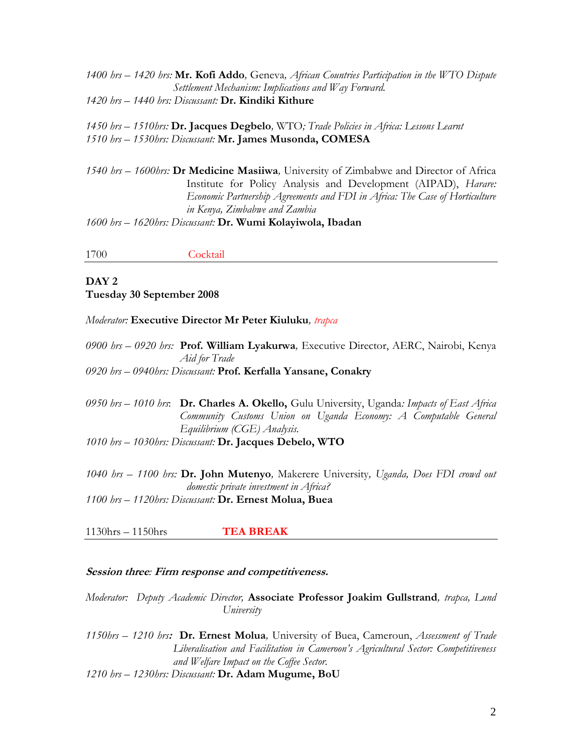*1400 hrs – 1420 hrs:* **Mr. Kofi Addo***,* Geneva*, African Countries Participation in the WTO Dispute Settlement Mechanism: Implications and Way Forward. 1420 hrs – 1440 hrs: Discussant:* **Dr. Kindiki Kithure**

*1450 hrs – 1510hrs:* **Dr. Jacques Degbelo***,* WTO*; Trade Policies in Africa: Lessons Learnt 1510 hrs – 1530hrs: Discussant:* **Mr. James Musonda, COMESA**

*1540 hrs – 1600hrs:* **Dr Medicine Masiiwa***,* University of Zimbabwe and Director of Africa Institute for Policy Analysis and Development (AIPAD), *Harare: Economic Partnership Agreements and FDI in Africa: The Case of Horticulture in Kenya, Zimbabwe and Zambia 1600 hrs – 1620hrs: Discussant:* **Dr. Wumi Kolayiwola, Ibadan**

1700 Cocktail

### **DAY 2 Tuesday 30 September 2008**

#### *Moderator:* **Executive Director Mr Peter Kiuluku***, trapca*

*0900 hrs – 0920 hrs:* **Prof. William Lyakurwa***,* Executive Director, AERC, Nairobi, Kenya *Aid for Trade*

*0920 hrs – 0940hrs: Discussant:* **Prof. Kerfalla Yansane, Conakry**

*0950 hrs – 1010 hrs*: **Dr. Charles A. Okello,** Gulu University, Uganda*: Impacts of East Africa Community Customs Union on Uganda Economy: A Computable General Equilibrium (CGE) Analysis.* 

*1010 hrs – 1030hrs: Discussant:* **Dr. Jacques Debelo, WTO**

*1040 hrs – 1100 hrs:* **Dr. John Mutenyo***,* Makerere University*, Uganda, Does FDI crowd out domestic private investment in Africa? 1100 hrs – 1120hrs: Discussant:* **Dr. Ernest Molua, Buea**

1130hrs – 1150hrs **TEA BREAK**

#### **Session three***:* **Firm response and competitiveness.**

*Moderator: Deputy Academic Director,* **Associate Professor Joakim Gullstrand***, trapca, Lund University*

*1150hrs – 1210 hrs***: Dr. Ernest Molua***,* University of Buea, Cameroun, *Assessment of Trade Liberalisation and Facilitation in Cameroon's Agricultural Sector: Competitiveness and Welfare Impact on the Coffee Sector.*

*1210 hrs – 1230hrs: Discussant:* **Dr. Adam Mugume, BoU**